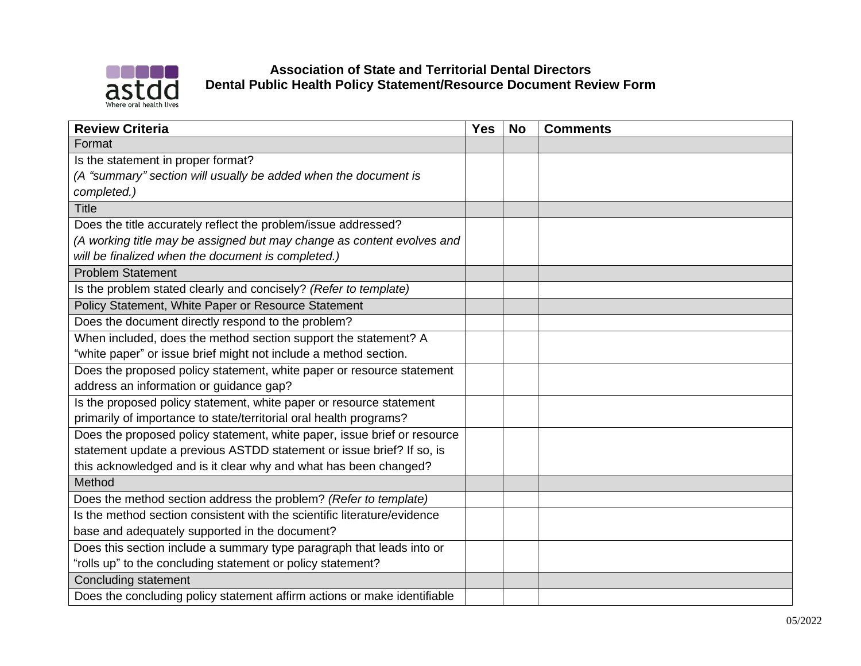

## **Association of State and Territorial Dental Directors Dental Public Health Policy Statement/Resource Document Review Form**

| <b>Review Criteria</b>                                                   | <b>Yes</b> | <b>No</b> | <b>Comments</b> |
|--------------------------------------------------------------------------|------------|-----------|-----------------|
| Format                                                                   |            |           |                 |
| Is the statement in proper format?                                       |            |           |                 |
| (A "summary" section will usually be added when the document is          |            |           |                 |
| completed.)                                                              |            |           |                 |
| <b>Title</b>                                                             |            |           |                 |
| Does the title accurately reflect the problem/issue addressed?           |            |           |                 |
| (A working title may be assigned but may change as content evolves and   |            |           |                 |
| will be finalized when the document is completed.)                       |            |           |                 |
| <b>Problem Statement</b>                                                 |            |           |                 |
| Is the problem stated clearly and concisely? (Refer to template)         |            |           |                 |
| Policy Statement, White Paper or Resource Statement                      |            |           |                 |
| Does the document directly respond to the problem?                       |            |           |                 |
| When included, does the method section support the statement? A          |            |           |                 |
| "white paper" or issue brief might not include a method section.         |            |           |                 |
| Does the proposed policy statement, white paper or resource statement    |            |           |                 |
| address an information or guidance gap?                                  |            |           |                 |
| Is the proposed policy statement, white paper or resource statement      |            |           |                 |
| primarily of importance to state/territorial oral health programs?       |            |           |                 |
| Does the proposed policy statement, white paper, issue brief or resource |            |           |                 |
| statement update a previous ASTDD statement or issue brief? If so, is    |            |           |                 |
| this acknowledged and is it clear why and what has been changed?         |            |           |                 |
| Method                                                                   |            |           |                 |
| Does the method section address the problem? (Refer to template)         |            |           |                 |
| Is the method section consistent with the scientific literature/evidence |            |           |                 |
| base and adequately supported in the document?                           |            |           |                 |
| Does this section include a summary type paragraph that leads into or    |            |           |                 |
| "rolls up" to the concluding statement or policy statement?              |            |           |                 |
| <b>Concluding statement</b>                                              |            |           |                 |
| Does the concluding policy statement affirm actions or make identifiable |            |           |                 |